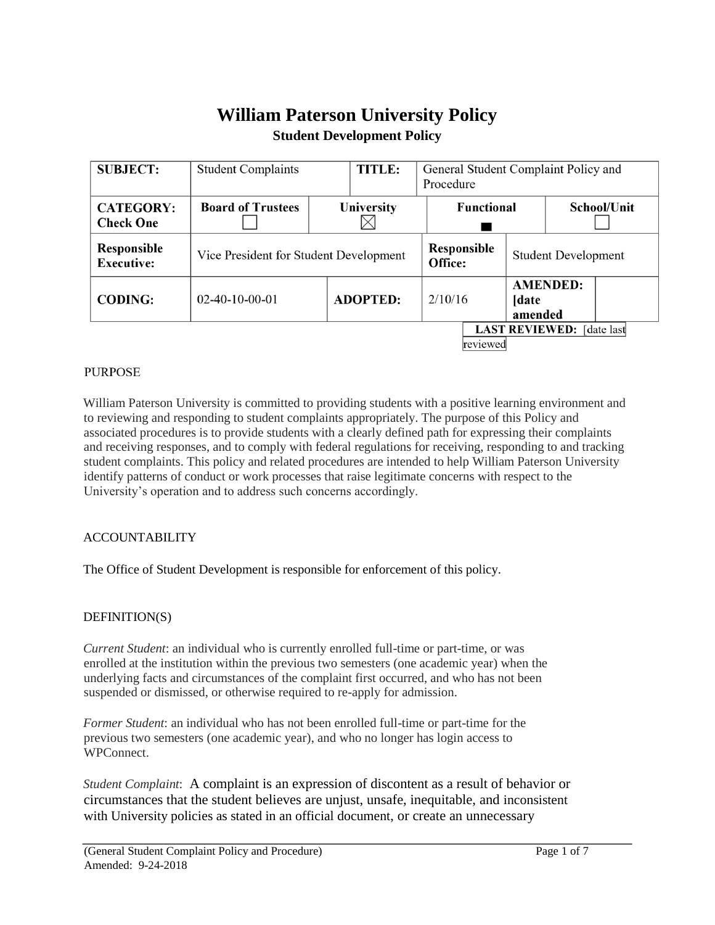# **William Paterson University Policy Student Development Policy**

| <b>SUBJECT:</b>                       | <b>Student Complaints</b>              | TITLE:          | General Student Complaint Policy and<br>Procedure |                        |                  |                            |  |
|---------------------------------------|----------------------------------------|-----------------|---------------------------------------------------|------------------------|------------------|----------------------------|--|
| <b>CATEGORY:</b><br><b>Check One</b>  | <b>Board of Trustees</b>               | University      | <b>Functional</b>                                 |                        |                  | School/Unit                |  |
| Responsible<br><b>Executive:</b>      | Vice President for Student Development |                 |                                                   | Responsible<br>Office: |                  | <b>Student Development</b> |  |
| <b>CODING:</b>                        | $02-40-10-00-01$                       | <b>ADOPTED:</b> | 2/10/16                                           |                        | [date<br>amended | <b>AMENDED:</b>            |  |
| LAST REVIEWED: [date last<br>reviewed |                                        |                 |                                                   |                        |                  |                            |  |

### **PURPOSE**

William Paterson University is committed to providing students with a positive learning environment and to reviewing and responding to student complaints appropriately. The purpose of this Policy and associated procedures is to provide students with a clearly defined path for expressing their complaints and receiving responses, and to comply with federal regulations for receiving, responding to and tracking student complaints. This policy and related procedures are intended to help William Paterson University identify patterns of conduct or work processes that raise legitimate concerns with respect to the University's operation and to address such concerns accordingly.

#### ACCOUNTABILITY

The Office of Student Development is responsible for enforcement of this policy.

### DEFINITION(S)

*Current Student*: an individual who is currently enrolled full-time or part-time, or was enrolled at the institution within the previous two semesters (one academic year) when the underlying facts and circumstances of the complaint first occurred, and who has not been suspended or dismissed, or otherwise required to re-apply for admission.

*Former Student*: an individual who has not been enrolled full-time or part-time for the previous two semesters (one academic year), and who no longer has login access to WPConnect.

*Student Complaint*: A complaint is an expression of discontent as a result of behavior or circumstances that the student believes are unjust, unsafe, inequitable, and inconsistent with University policies as stated in an official document, or create an unnecessary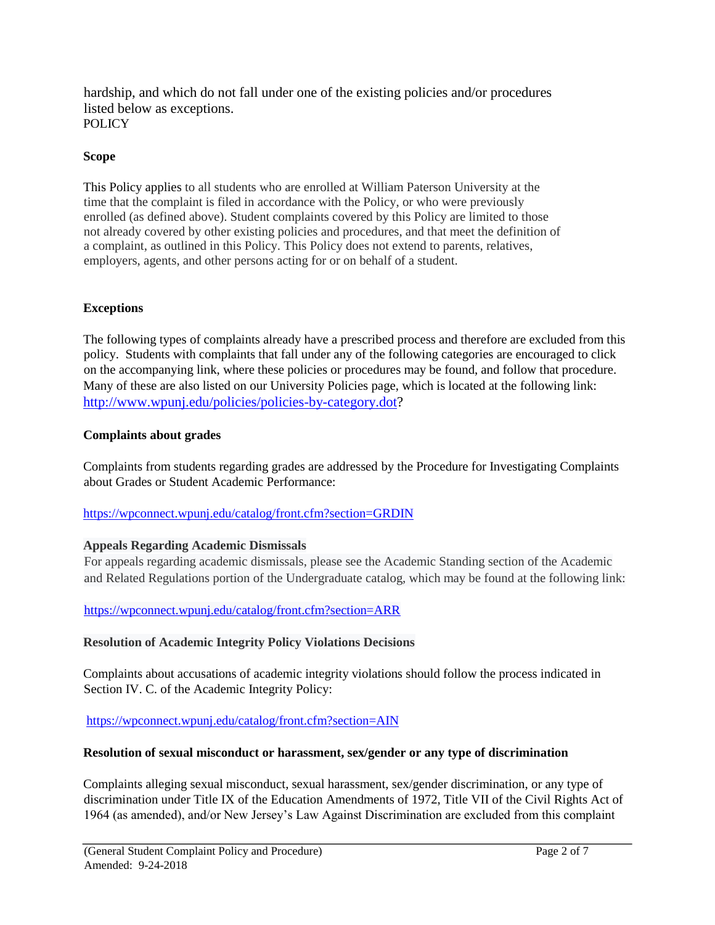hardship, and which do not fall under one of the existing policies and/or procedures listed below as exceptions. **POLICY** 

#### **Scope**

This Policy applies to all students who are enrolled at William Paterson University at the time that the complaint is filed in accordance with the Policy, or who were previously enrolled (as defined above). Student complaints covered by this Policy are limited to those not already covered by other existing policies and procedures, and that meet the definition of a complaint, as outlined in this Policy. This Policy does not extend to parents, relatives, employers, agents, and other persons acting for or on behalf of a student.

#### **Exceptions**

The following types of complaints already have a prescribed process and therefore are excluded from this policy. Students with complaints that fall under any of the following categories are encouraged to click on the accompanying link, where these policies or procedures may be found, and follow that procedure. Many of these are also listed on our University Policies page, which is located at the following link: [http://www.wpunj.edu/policies/policies-by-category.dot?](http://www.wpunj.edu/policies/policies-by-category.dot)

#### **Complaints about grades**

Complaints from students regarding grades are addressed by the Procedure for Investigating Complaints about Grades or Student Academic Performance:

### <https://wpconnect.wpunj.edu/catalog/front.cfm?section=GRDIN>

### **Appeals Regarding Academic Dismissals**

For appeals regarding academic dismissals, please see the Academic Standing section of the Academic and Related Regulations portion of the Undergraduate catalog, which may be found at the following link:

### <https://wpconnect.wpunj.edu/catalog/front.cfm?section=ARR>

#### **Resolution of Academic Integrity Policy Violations Decisions**

Complaints about accusations of academic integrity violations should follow the process indicated in Section IV. C. of the Academic Integrity Policy:

<https://wpconnect.wpunj.edu/catalog/front.cfm?section=AIN>

#### **Resolution of sexual misconduct or harassment, sex/gender or any type of discrimination**

Complaints alleging sexual misconduct, sexual harassment, sex/gender discrimination, or any type of discrimination under Title IX of the Education Amendments of 1972, Title VII of the Civil Rights Act of 1964 (as amended), and/or New Jersey's Law Against Discrimination are excluded from this complaint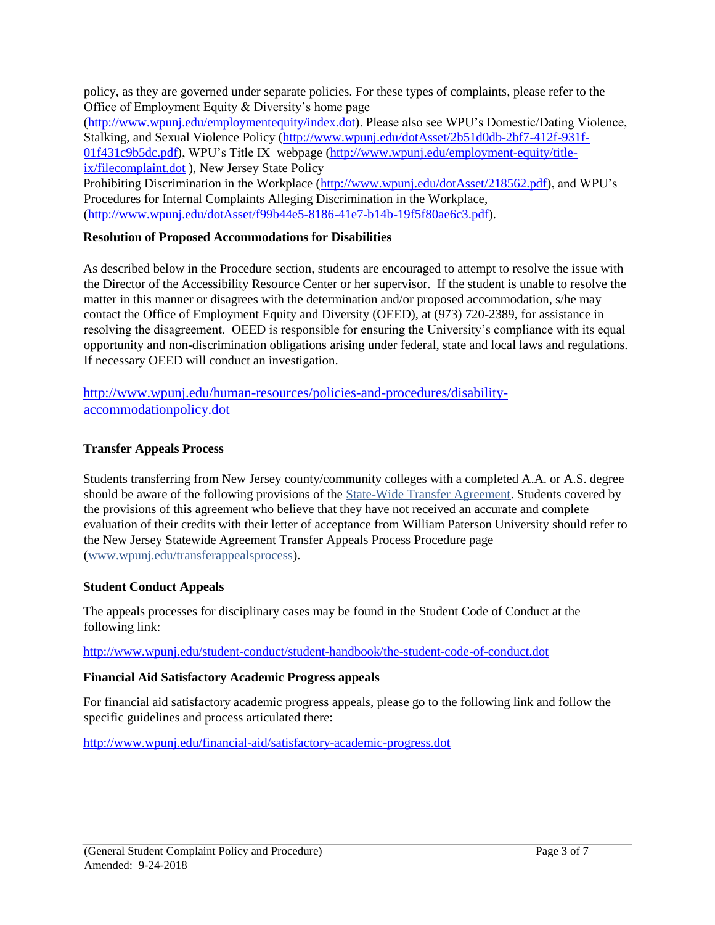policy, as they are governed under separate policies. For these types of complaints, please refer to the Office of Employment Equity & Diversity's home page

[\(http://www.wpunj.edu/employmentequity/index.dot\).](http://www.wpunj.edu/employment-equity/index.dot) Please also see WPU's Domestic/Dating Violence, Stalking, and Sexual Violence Policy [\(http://www.wpunj.edu/dotAsset/2b51d0db-2bf7-412f-931f-](http://www.wpunj.edu/dotAsset/2b51d0db-2bf7-412f-931f-01f431c9b5dc.pdf)[01f431c9b5dc.pdf\),](http://www.wpunj.edu/dotAsset/2b51d0db-2bf7-412f-931f-01f431c9b5dc.pdf) WPU's Title IX webpage [\(http://www.wpunj.edu/employment-equity/title](http://www.wpunj.edu/employment-equity/title-ix/filecomplaint.dot)[ix/filecomplaint.dot](http://www.wpunj.edu/employment-equity/title-ix/filecomplaint.dot) [\)](http://www.wpunj.edu/employment-equity/title-ix/filecomplaint.dot), New Jersey State Policy

Prohibiting Discrimination in the Workplace [\(http://www.wpunj.edu/dotAsset/218562.pdf\),](http://www.wpunj.edu/dotAsset/218562.pdf) and WPU's Procedures for Internal Complaints Alleging Discrimination in the Workplace, [\(http://www.wpunj.edu/dotAsset/f99b44e5-8186-41e7-b14b-19f5f80ae6c3.pdf\).](http://www.wpunj.edu/dotAsset/f99b44e5-8186-41e7-b14b-19f5f80ae6c3.pdf)

### **Resolution of Proposed Accommodations for Disabilities**

As described below in the Procedure section, students are encouraged to attempt to resolve the issue with the Director of the Accessibility Resource Center or her supervisor. If the student is unable to resolve the matter in this manner or disagrees with the determination and/or proposed accommodation, s/he may contact the Office of Employment Equity and Diversity (OEED), at (973) 720-2389, for assistance in resolving the disagreement. OEED is responsible for ensuring the University's compliance with its equal opportunity and non-discrimination obligations arising under federal, state and local laws and regulations. If necessary OEED will conduct an investigation.

[http://www.wpunj.edu/human-resources/policies-and-procedures/disability](http://www.wpunj.edu/human-resources/policies-and-procedures/disability-accommodation-policy.dot)[accommodationpolicy.dot](http://www.wpunj.edu/human-resources/policies-and-procedures/disability-accommodation-policy.dot)

### **Transfer Appeals Process**

Students transferring from New Jersey county/community colleges with a completed A.A. or A.S. degree should be aware of the following provisions of the [State-Wide Transfer Agreement.](http://www.state.nj.us/highereducation/PDFs/XferAgreementOct08.pdf) Students covered by the provisions of this agreement who believe that they have not received an accurate and complete evaluation of their credits with their letter of acceptance from William Paterson University should refer to the New Jersey Statewide Agreement Transfer Appeals Process Procedure page [\(www.wpunj.edu/transferappealsprocess\).](http://www.wpunj.edu/admissions/undergraduate/transfer-students/transfer-appeals-process.dot)

### **Student Conduct Appeals**

The appeals processes for disciplinary cases may be found in the Student Code of Conduct at the following link:

<http://www.wpunj.edu/student-conduct/student-handbook/the-student-code-of-conduct.dot>

### **Financial Aid Satisfactory Academic Progress appeals**

For financial aid satisfactory academic progress appeals, please go to the following link and follow the specific guidelines and process articulated there:

<http://www.wpunj.edu/financial-aid/satisfactory-academic-progress.dot>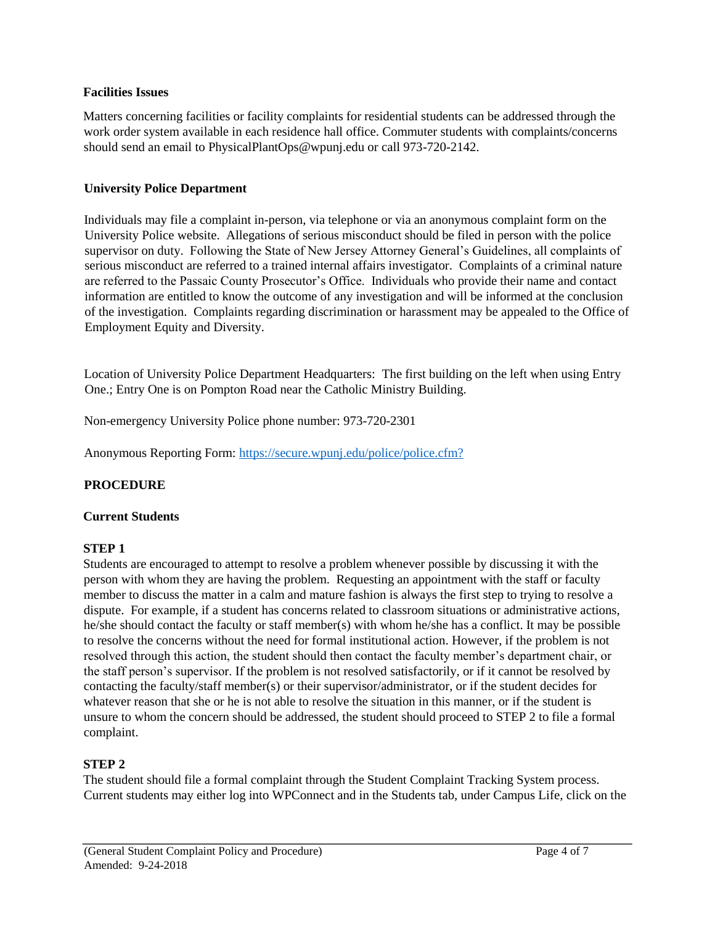#### **Facilities Issues**

Matters concerning facilities or facility complaints for residential students can be addressed through the work order system available in each residence hall office. Commuter students with complaints/concerns should send an email to PhysicalPlantOps@wpunj.edu or call 973-720-2142.

### **University Police Department**

Individuals may file a complaint in-person, via telephone or via an anonymous complaint form on the University Police website. Allegations of serious misconduct should be filed in person with the police supervisor on duty. Following the State of New Jersey Attorney General's Guidelines, all complaints of serious misconduct are referred to a trained internal affairs investigator. Complaints of a criminal nature are referred to the Passaic County Prosecutor's Office. Individuals who provide their name and contact information are entitled to know the outcome of any investigation and will be informed at the conclusion of the investigation. Complaints regarding discrimination or harassment may be appealed to the Office of Employment Equity and Diversity.

Location of University Police Department Headquarters: The first building on the left when using Entry One.; Entry One is on Pompton Road near the Catholic Ministry Building.

Non-emergency University Police phone number: 973-720-2301

Anonymous Reporting Form:<https://secure.wpunj.edu/police/police.cfm?>

### **PROCEDURE**

### **Current Students**

### **STEP 1**

Students are encouraged to attempt to resolve a problem whenever possible by discussing it with the person with whom they are having the problem. Requesting an appointment with the staff or faculty member to discuss the matter in a calm and mature fashion is always the first step to trying to resolve a dispute. For example, if a student has concerns related to classroom situations or administrative actions, he/she should contact the faculty or staff member(s) with whom he/she has a conflict. It may be possible to resolve the concerns without the need for formal institutional action. However, if the problem is not resolved through this action, the student should then contact the faculty member's department chair, or the staff person's supervisor. If the problem is not resolved satisfactorily, or if it cannot be resolved by contacting the faculty/staff member(s) or their supervisor/administrator, or if the student decides for whatever reason that she or he is not able to resolve the situation in this manner, or if the student is unsure to whom the concern should be addressed, the student should proceed to STEP 2 to file a formal complaint.

### **STEP 2**

The student should file a formal complaint through the Student Complaint Tracking System process. Current students may either log into WPConnect and in the Students tab, under Campus Life, click on the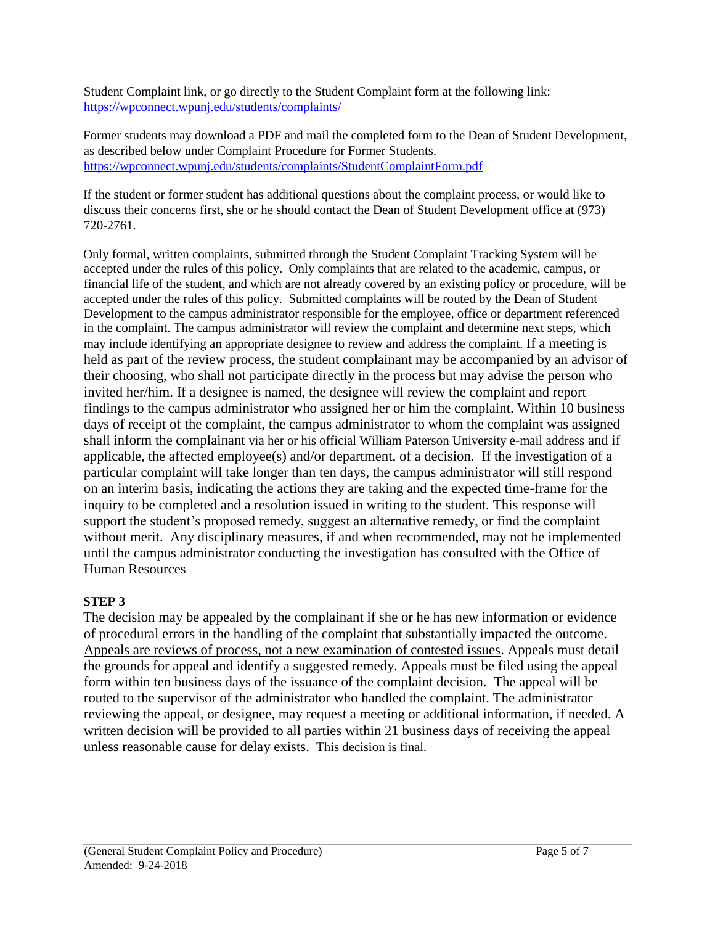Student Complaint link, or go directly to the Student Complaint form at the following link: <https://wpconnect.wpunj.edu/students/complaints/>

Former students may download a PDF and mail the completed form to the Dean of Student Development, as described below under Complaint Procedure for Former Students. <https://wpconnect.wpunj.edu/students/complaints/StudentComplaintForm.pdf>

If the student or former student has additional questions about the complaint process, or would like to discuss their concerns first, she or he should contact the Dean of Student Development office at (973) 720-2761.

Only formal, written complaints, submitted through the Student Complaint Tracking System will be accepted under the rules of this policy. Only complaints that are related to the academic, campus, or financial life of the student, and which are not already covered by an existing policy or procedure, will be accepted under the rules of this policy. Submitted complaints will be routed by the Dean of Student Development to the campus administrator responsible for the employee, office or department referenced in the complaint. The campus administrator will review the complaint and determine next steps, which may include identifying an appropriate designee to review and address the complaint. If a meeting is held as part of the review process, the student complainant may be accompanied by an advisor of their choosing, who shall not participate directly in the process but may advise the person who invited her/him. If a designee is named, the designee will review the complaint and report findings to the campus administrator who assigned her or him the complaint. Within 10 business days of receipt of the complaint, the campus administrator to whom the complaint was assigned shall inform the complainant via her or his official William Paterson University e-mail address and if applicable, the affected employee(s) and/or department, of a decision. If the investigation of a particular complaint will take longer than ten days, the campus administrator will still respond on an interim basis, indicating the actions they are taking and the expected time-frame for the inquiry to be completed and a resolution issued in writing to the student. This response will support the student's proposed remedy, suggest an alternative remedy, or find the complaint without merit. Any disciplinary measures, if and when recommended, may not be implemented until the campus administrator conducting the investigation has consulted with the Office of Human Resources

## **STEP 3**

The decision may be appealed by the complainant if she or he has new information or evidence of procedural errors in the handling of the complaint that substantially impacted the outcome. Appeals are reviews of process, not a new examination of contested issues. Appeals must detail the grounds for appeal and identify a suggested remedy. Appeals must be filed using the appeal form within ten business days of the issuance of the complaint decision. The appeal will be routed to the supervisor of the administrator who handled the complaint. The administrator reviewing the appeal, or designee, may request a meeting or additional information, if needed. A written decision will be provided to all parties within 21 business days of receiving the appeal unless reasonable cause for delay exists. This decision is final.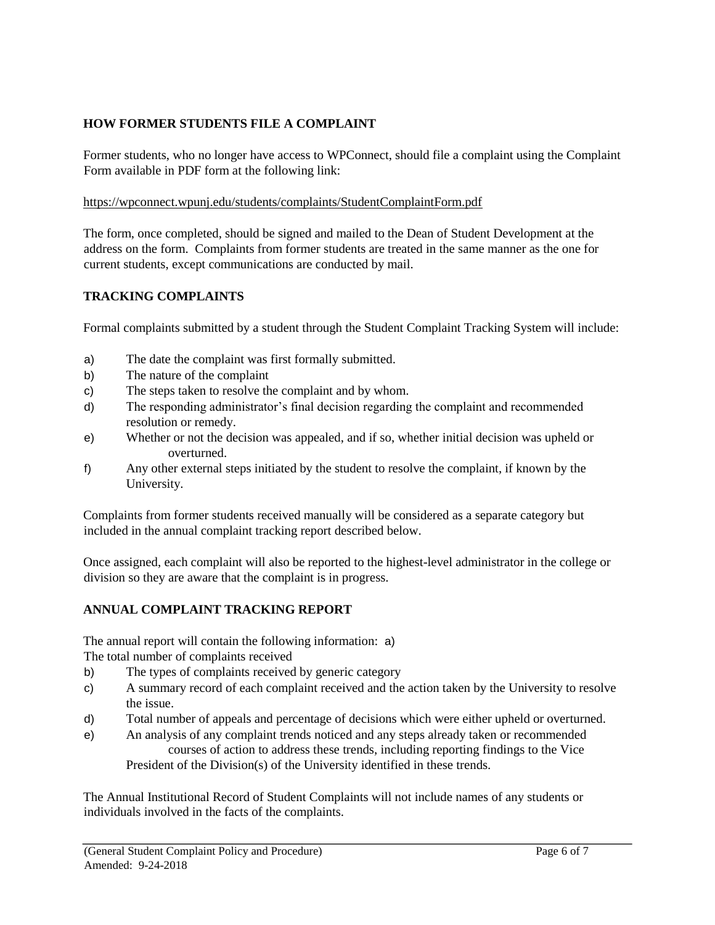### **HOW FORMER STUDENTS FILE A COMPLAINT**

Former students, who no longer have access to WPConnect, should file a complaint using the Complaint Form available in PDF form at the following link:

### <https://wpconnect.wpunj.edu/students/complaints/StudentComplaintForm.pdf>

The form, once completed, should be signed and mailed to the Dean of Student Development at the address on the form. Complaints from former students are treated in the same manner as the one for current students, except communications are conducted by mail.

### **TRACKING COMPLAINTS**

Formal complaints submitted by a student through the Student Complaint Tracking System will include:

- a) The date the complaint was first formally submitted.
- b) The nature of the complaint
- c) The steps taken to resolve the complaint and by whom.
- d) The responding administrator's final decision regarding the complaint and recommended resolution or remedy.
- e) Whether or not the decision was appealed, and if so, whether initial decision was upheld or overturned.
- f) Any other external steps initiated by the student to resolve the complaint, if known by the University.

Complaints from former students received manually will be considered as a separate category but included in the annual complaint tracking report described below.

Once assigned, each complaint will also be reported to the highest-level administrator in the college or division so they are aware that the complaint is in progress.

### **ANNUAL COMPLAINT TRACKING REPORT**

The annual report will contain the following information: a) The total number of complaints received

- b) The types of complaints received by generic category
- c) A summary record of each complaint received and the action taken by the University to resolve the issue.
- d) Total number of appeals and percentage of decisions which were either upheld or overturned.
- e) An analysis of any complaint trends noticed and any steps already taken or recommended courses of action to address these trends, including reporting findings to the Vice President of the Division(s) of the University identified in these trends.

The Annual Institutional Record of Student Complaints will not include names of any students or individuals involved in the facts of the complaints.